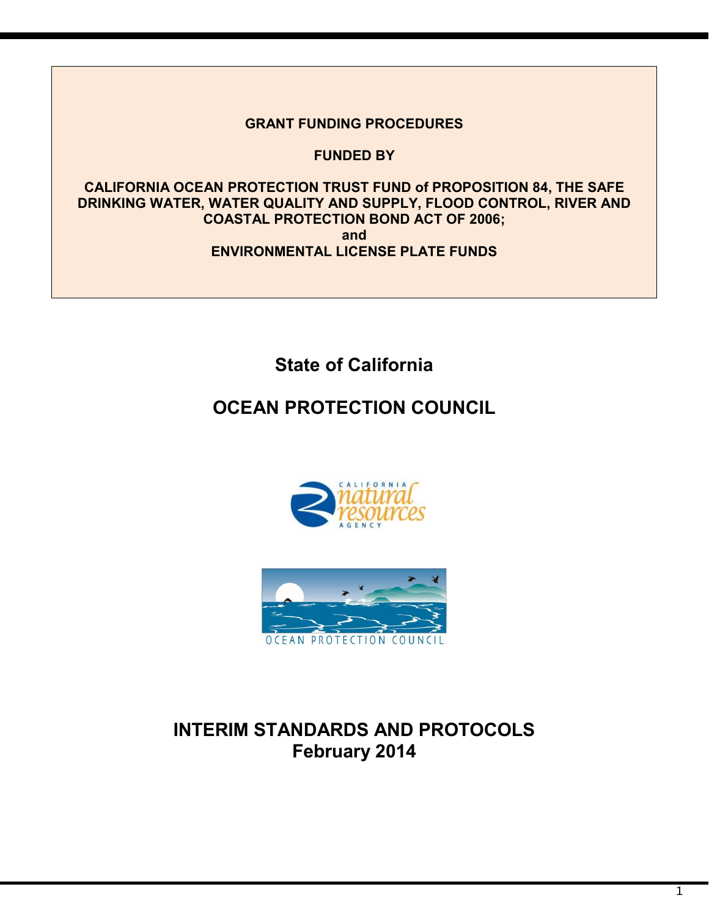## **GRANT FUNDING PROCEDURES**

 **FUNDED BY**

 **COASTAL PROTECTION BOND ACT OF 2006; ENVIRONMENTAL LICENSE PLATE FUNDS CALIFORNIA OCEAN PROTECTION TRUST FUND of PROPOSITION 84, THE SAFE DRINKING WATER, WATER QUALITY AND SUPPLY, FLOOD CONTROL, RIVER AND and** 

**State of California**

# **OCEAN PROTECTION COUNCIL**





# **INTERIM STANDARDS AND PROTOCOLS February 2014**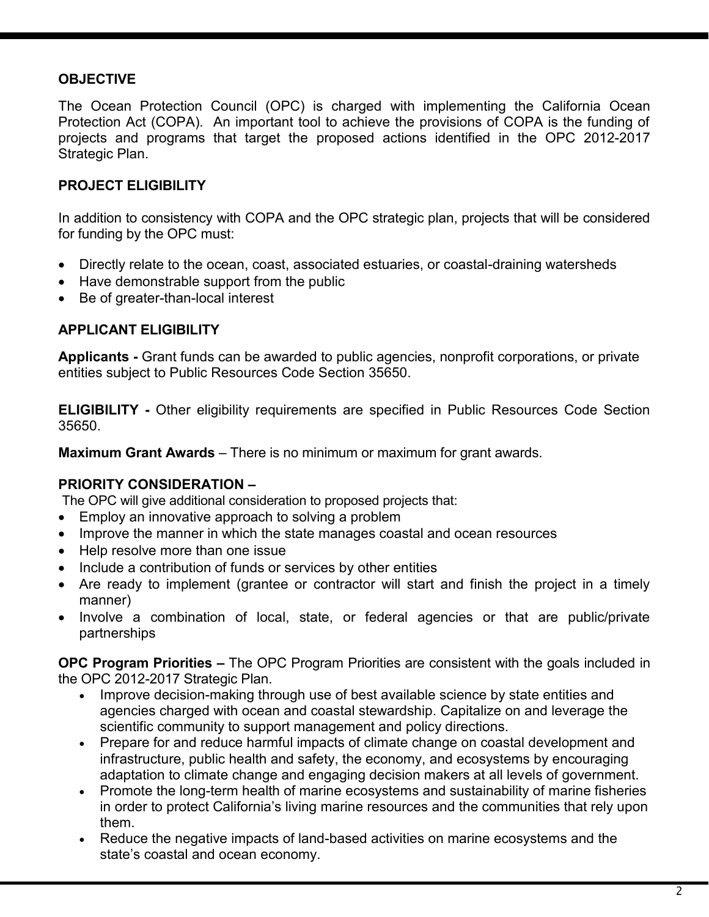## **OBJECTIVE**

 The Ocean Protection Council (OPC) is charged with implementing the California Ocean Protection Act (COPA). An important tool to achieve the provisions of COPA is the funding of projects and programs that target the proposed actions identified in the OPC 2012-2017 Strategic Plan.

## **PROJECT ELIGIBILITY**

 In addition to consistency with COPA and the OPC strategic plan, projects that will be considered for funding by the OPC must:

- Directly relate to the ocean, coast, associated estuaries, or coastal-draining watersheds
- Have demonstrable support from the public
- Be of greater-than-local interest

## **APPLICANT ELIGIBILITY**

**APPLICANT ELIGIBILITY**<br>**Applicants -** Grant funds can be awarded to public agencies, nonprofit corporations, or private entities subject to Public Resources Code Section 35650.

 **ELIGIBILITY -** Other eligibility requirements are specified in Public Resources Code Section 35650.

 **Maximum Grant Awards** – There is no minimum or maximum for grant awards.

## **PRIORITY CONSIDERATION –**

The OPC will give additional consideration to proposed projects that:

- Employ an innovative approach to solving a problem
- Improve the manner in which the state manages coastal and ocean resources
- Help resolve more than one issue
- Include a contribution of funds or services by other entities
- Are ready to implement (grantee or contractor will start and finish the project in a timely manner)
- Involve a combination of local, state, or federal agencies or that are public/private partnerships

 **OPC Program Priorities –** The OPC Program Priorities are consistent with the goals included in the OPC 2012-2017 Strategic Plan.

- Improve decision-making through use of best available science by state entities and agencies charged with ocean and coastal stewardship. Capitalize on and leverage the scientific community to support management and policy directions.
- Prepare for and reduce harmful impacts of climate change on coastal development and infrastructure, public health and safety, the economy, and ecosystems by encouraging adaptation to climate change and engaging decision makers at all levels of government.
- Promote the long-term health of marine ecosystems and sustainability of marine fisheries in order to protect California's living marine resources and the communities that rely upon them.
- Reduce the negative impacts of land-based activities on marine ecosystems and the state's coastal and ocean economy.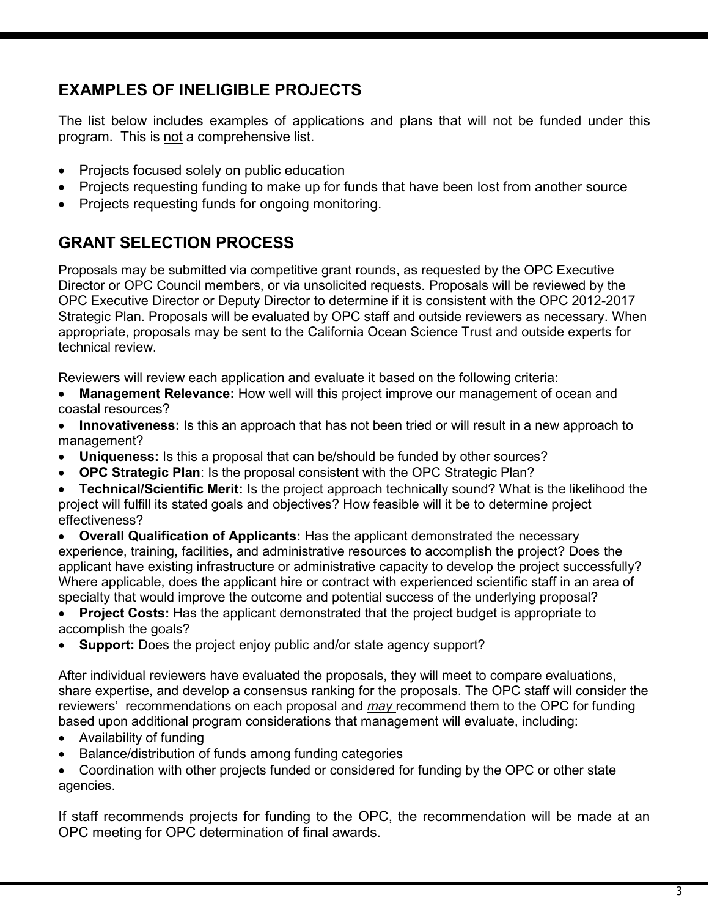# **EXAMPLES OF INELIGIBLE PROJECTS**

The list below includes examples of applications and plans that will not be funded under this program. This is not a comprehensive list.

- Projects focused solely on public education
- Projects requesting funding to make up for funds that have been lost from another source
- Projects requesting funds for ongoing monitoring.

# **GRANT SELECTION PROCESS**

 Proposals may be submitted via competitive grant rounds, as requested by the OPC Executive Director or OPC Council members, or via unsolicited requests. Proposals will be reviewed by the OPC Executive Director or Deputy Director to determine if it is consistent with the OPC 2012-2017 Strategic Plan. Proposals will be evaluated by OPC staff and outside reviewers as necessary. When appropriate, proposals may be sent to the California Ocean Science Trust and outside experts for technical review.

Reviewers will review each application and evaluate it based on the following criteria:

 • **Management Relevance:** How well will this project improve our management of ocean and coastal resources?

 • **Innovativeness:** Is this an approach that has not been tried or will result in a new approach to management?

- **Uniqueness:** Is this a proposal that can be/should be funded by other sources?
- **OPC Strategic Plan**: Is the proposal consistent with the OPC Strategic Plan?

 • **Technical/Scientific Merit:** Is the project approach technically sound? What is the likelihood the project will fulfill its stated goals and objectives? How feasible will it be to determine project effectiveness?

 • **Overall Qualification of Applicants:** Has the applicant demonstrated the necessary experience, training, facilities, and administrative resources to accomplish the project? Does the applicant have existing infrastructure or administrative capacity to develop the project successfully? Where applicable, does the applicant hire or contract with experienced scientific staff in an area of specialty that would improve the outcome and potential success of the underlying proposal?

 • **Project Costs:** Has the applicant demonstrated that the project budget is appropriate to accomplish the goals?

• **Support:** Does the project enjoy public and/or state agency support?

After individual reviewers have evaluated the proposals, they will meet to compare evaluations, share expertise, and develop a consensus ranking for the proposals. The OPC staff will consider the reviewers' recommendations on each proposal and *may* recommend them to the OPC for funding based upon additional program considerations that management will evaluate, including:

- Availability of funding
- Balance/distribution of funds among funding categories

 • Coordination with other projects funded or considered for funding by the OPC or other state agencies.

 If staff recommends projects for funding to the OPC, the recommendation will be made at an OPC meeting for OPC determination of final awards.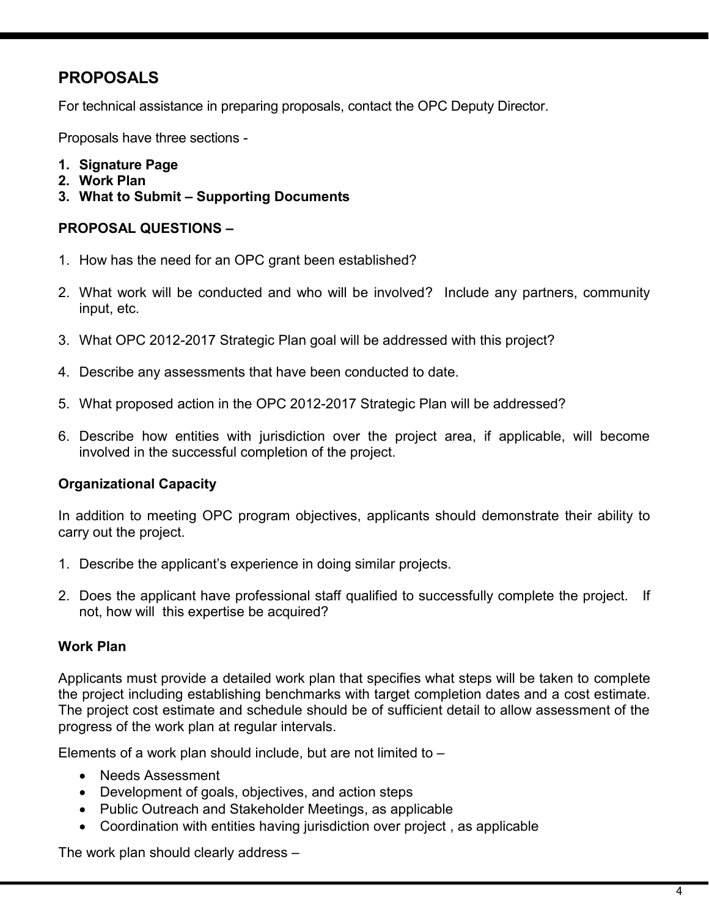# **PROPOSALS**

For technical assistance in preparing proposals, contact the OPC Deputy Director.

Proposals have three sections -

- **1. Signature Page**
- **2. Work Plan**
- **3. What to Submit – Supporting Documents**

#### **PROPOSAL QUESTIONS –**

- 1. How has the need for an OPC grant been established?
- 2. What work will be conducted and who will be involved? Include any partners, community input, etc.
- 3. What OPC 2012-2017 Strategic Plan goal will be addressed with this project?
- 4. Describe any assessments that have been conducted to date.
- 5. What proposed action in the OPC 2012-2017 Strategic Plan will be addressed?
- 6. Describe how entities with jurisdiction over the project area, if applicable, will become involved in the successful completion of the project.

## **Organizational Capacity**

 In addition to meeting OPC program objectives, applicants should demonstrate their ability to carry out the project.

- 1. Describe the applicant's experience in doing similar projects.
- 1. Describe the applicant's experience in doing similar projects.<br>2. Does the applicant have professional staff qualified to successfully complete the project. If not, how will this expertise be acquired?

#### **Work Plan**

 Applicants must provide a detailed work plan that specifies what steps will be taken to complete the project including establishing benchmarks with target completion dates and a cost estimate. The project cost estimate and schedule should be of sufficient detail to allow assessment of the progress of the work plan at regular intervals.

Elements of a work plan should include, but are not limited to –

- Needs Assessment
- Development of goals, objectives, and action steps
- Public Outreach and Stakeholder Meetings, as applicable
- Coordination with entities having jurisdiction over project , as applicable

The work plan should clearly address –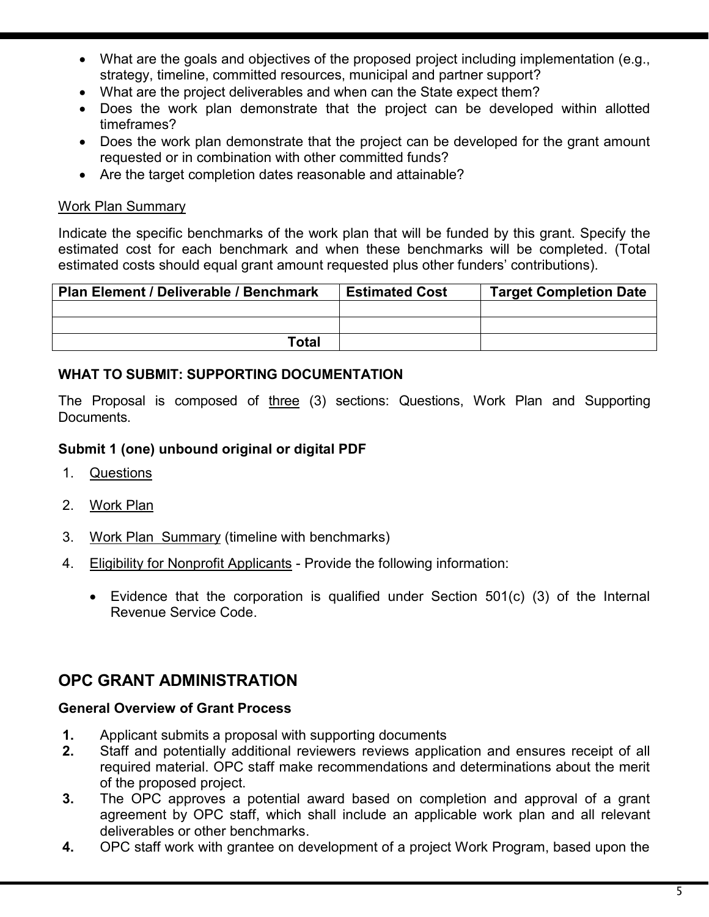- What are the goals and objectives of the proposed project including implementation (e.g., strategy, timeline, committed resources, municipal and partner support?
- What are the project deliverables and when can the State expect them?
- Does the work plan demonstrate that the project can be developed within allotted timeframes?
- Does the work plan demonstrate that the project can be developed for the grant amount requested or in combination with other committed funds?
- Are the target completion dates reasonable and attainable?

## Work Plan Summary

 Indicate the specific benchmarks of the work plan that will be funded by this grant. Specify the estimated cost for each benchmark and when these benchmarks will be completed. (Total estimated costs should equal grant amount requested plus other funders' contributions).

| Plan Element / Deliverable / Benchmark | <b>Estimated Cost</b> | <b>Target Completion Date</b> |  |  |  |
|----------------------------------------|-----------------------|-------------------------------|--|--|--|
|                                        |                       |                               |  |  |  |
|                                        |                       |                               |  |  |  |
| <b>Total</b>                           |                       |                               |  |  |  |

## **WHAT TO SUBMIT: SUPPORTING DOCUMENTATION**

The Proposal is composed of three (3) sections: Questions, Work Plan and Supporting Documents.

## **Submit 1 (one) unbound original or digital PDF**

- $1<sub>1</sub>$ Questions
- 2. <u>Work Plan</u>
- 3. Work Plan Summary (timeline with benchmarks)
- $\overline{4}$ 4. Eligibility for Nonprofit Applicants - Provide the following information:
	- • Evidence that the corporation is qualified under Section 501(c) (3) of the Internal Revenue Service Code.

## **OPC GRANT ADMINISTRATION**

#### **General Overview of Grant Process**

- **1.** Applicant submits a proposal with supporting documents
- **2.** Staff and potentially additional reviewers reviews application and ensures receipt of all required material. OPC staff make recommendations and determinations about the merit of the proposed project.
- **3.** The OPC approves a potential award based on completion and approval of a grant agreement by OPC staff, which shall include an applicable work plan and all relevant deliverables or other benchmarks.
- **4.** OPC staff work with grantee on development of a project Work Program, based upon the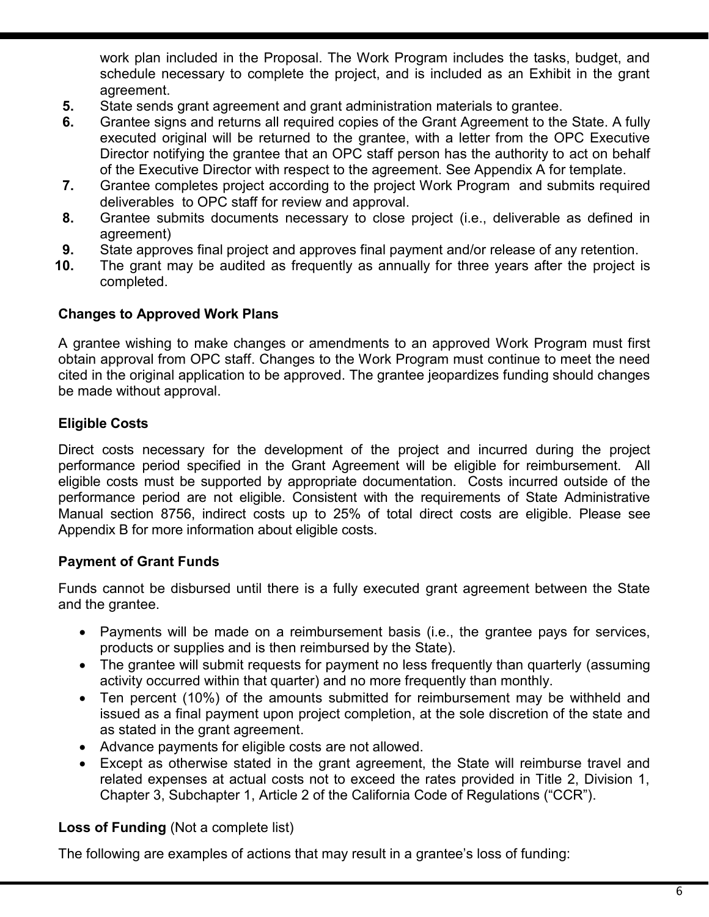work plan included in the Proposal. The Work Program includes the tasks, budget, and schedule necessary to complete the project, and is included as an Exhibit in the grant agreement.

- **5.** State sends grant agreement and grant administration materials to grantee.
- **6.** Grantee signs and returns all required copies of the Grant Agreement to the State. A fully executed original will be returned to the grantee, with a letter from the OPC Executive Director notifying the grantee that an OPC staff person has the authority to act on behalf of the Executive Director with respect to the agreement. See Appendix A for template.
- **7.** Grantee completes project according to the project Work Program and submits required deliverables to OPC staff for review and approval.
- **8.** Grantee submits documents necessary to close project (i.e., deliverable as defined in agreement)
- **9.** State approves final project and approves final payment and/or release of any retention.
- **10.** The grant may be audited as frequently as annually for three years after the project is completed.

#### **Changes to Approved Work Plans**

 A grantee wishing to make changes or amendments to an approved Work Program must first obtain approval from OPC staff. Changes to the Work Program must continue to meet the need cited in the original application to be approved. The grantee jeopardizes funding should changes be made without approval.

## **Eligible Costs**

 Direct costs necessary for the development of the project and incurred during the project performance period specified in the Grant Agreement will be eligible for reimbursement. All eligible costs must be supported by appropriate documentation. Costs incurred outside of the performance period are not eligible. Consistent with the requirements of State Administrative Manual section 8756, indirect costs up to 25% of total direct costs are eligible. Please see Appendix B for more information about eligible costs.

## **Payment of Grant Funds**

 Funds cannot be disbursed until there is a fully executed grant agreement between the State and the grantee.

- Payments will be made on a reimbursement basis (i.e., the grantee pays for services, products or supplies and is then reimbursed by the State).
- The grantee will submit requests for payment no less frequently than quarterly (assuming activity occurred within that quarter) and no more frequently than monthly.
- Ten percent (10%) of the amounts submitted for reimbursement may be withheld and issued as a final payment upon project completion, at the sole discretion of the state and as stated in the grant agreement.
- Advance payments for eligible costs are not allowed.
- Except as otherwise stated in the grant agreement, the State will reimburse travel and related expenses at actual costs not to exceed the rates provided in Title 2, Division 1, Chapter 3, Subchapter 1, Article 2 of the California Code of Regulations ("CCR").

## **Loss of Funding** (Not a complete list)

The following are examples of actions that may result in a grantee's loss of funding: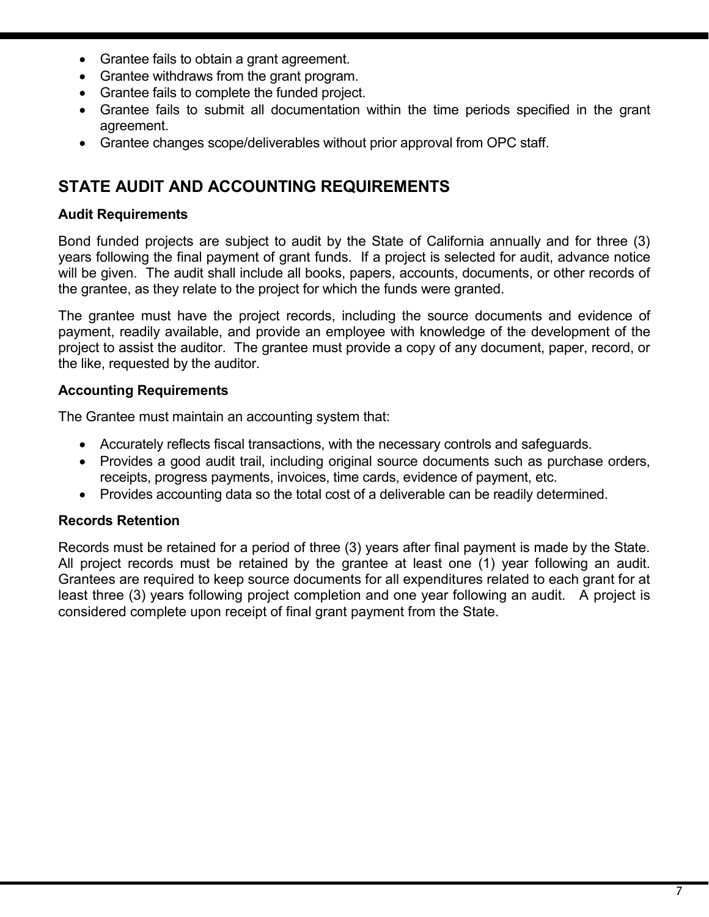- Grantee fails to obtain a grant agreement.
- Grantee withdraws from the grant program.
- Grantee fails to complete the funded project.
- Grantee fails to submit all documentation within the time periods specified in the grant agreement.
- Grantee changes scope/deliverables without prior approval from OPC staff.

# **STATE AUDIT AND ACCOUNTING REQUIREMENTS**

## **Audit Requirements**

 Bond funded projects are subject to audit by the State of California annually and for three (3) years following the final payment of grant funds. If a project is selected for audit, advance notice will be given. The audit shall include all books, papers, accounts, documents, or other records of the grantee, as they relate to the project for which the funds were granted.

 The grantee must have the project records, including the source documents and evidence of payment, readily available, and provide an employee with knowledge of the development of the project to assist the auditor. The grantee must provide a copy of any document, paper, record, or the like, requested by the auditor.

#### **Accounting Requirements**

The Grantee must maintain an accounting system that:

- Accurately reflects fiscal transactions, with the necessary controls and safeguards.
- • Provides a good audit trail, including original source documents such as purchase orders, receipts, progress payments, invoices, time cards, evidence of payment, etc.
- Provides accounting data so the total cost of a deliverable can be readily determined.

## **Records Retention**

 Records must be retained for a period of three (3) years after final payment is made by the State. All project records must be retained by the grantee at least one (1) year following an audit. least three (3) years following project completion and one year following an audit. A project is considered complete upon receipt of final grant payment from the State. Grantees are required to keep source documents for all expenditures related to each grant for at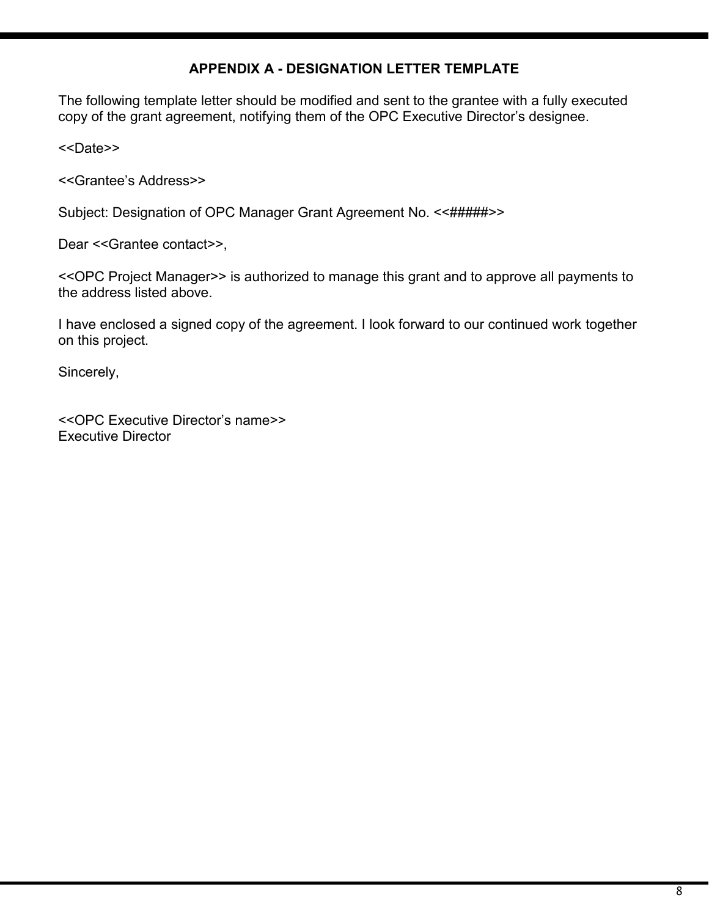## **APPENDIX A - DESIGNATION LETTER TEMPLATE**

The following template letter should be modified and sent to the grantee with a fully executed copy of the grant agreement, notifying them of the OPC Executive Director's designee.

<<Date>>

<<Grantee's Address>>

Subject: Designation of OPC Manager Grant Agreement No. << #####>>>

Dear <<Grantee contact>>,

<<OPC Project Manager>> is authorized to manage this grant and to approve all payments to the address listed above.

 I have enclosed a signed copy of the agreement. I look forward to our continued work together on this project.

Sincerely,

<<OPC Executive Director's name>> Executive Director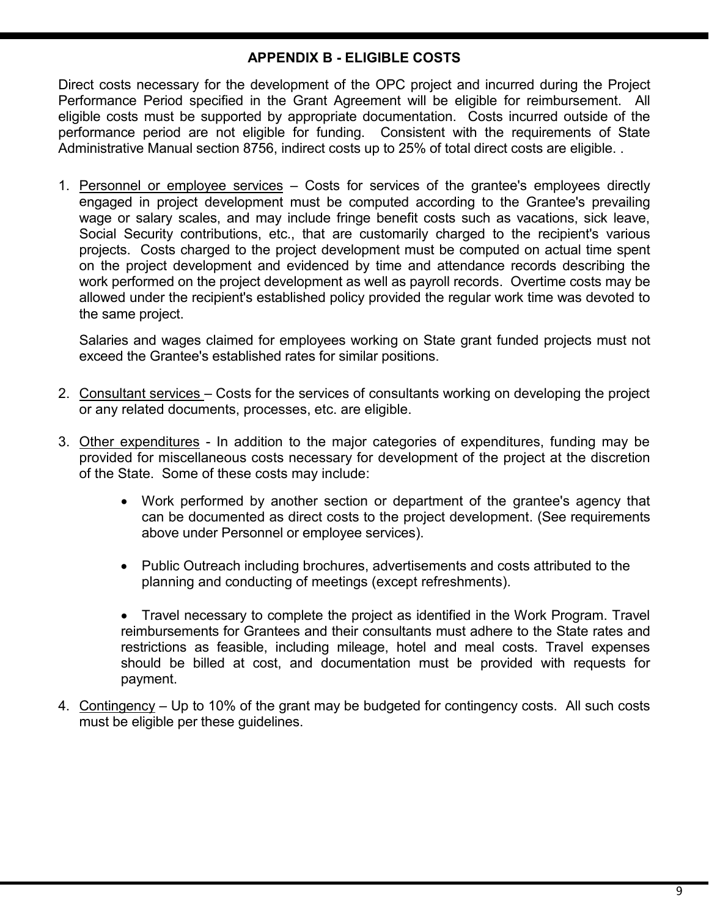## **APPENDIX B - ELIGIBLE COSTS**

 Direct costs necessary for the development of the OPC project and incurred during the Project Performance Period specified in the Grant Agreement will be eligible for reimbursement. All eligible costs must be supported by appropriate documentation. Costs incurred outside of the performance period are not eligible for funding. Consistent with the requirements of State Administrative Manual section 8756, indirect costs up to 25% of total direct costs are eligible. .

1. Personnel or employee services – Costs for services of the grantee's employees directly engaged in project development must be computed according to the Grantee's prevailing wage or salary scales, and may include fringe benefit costs such as vacations, sick leave, Social Security contributions, etc., that are customarily charged to the recipient's various projects. Costs charged to the project development must be computed on actual time spent on the project development and evidenced by time and attendance records describing the work performed on the project development as well as payroll records. Overtime costs may be allowed under the recipient's established policy provided the regular work time was devoted to the same project.

 Salaries and wages claimed for employees working on State grant funded projects must not exceed the Grantee's established rates for similar positions.

- 2. Consultant services Costs for the services of consultants working on developing the project or any related documents, processes, etc. are eligible.
- 3. Other expenditures In addition to the major categories of expenditures, funding may be provided for miscellaneous costs necessary for development of the project at the discretion of the State. Some of these costs may include:
	- Work performed by another section or department of the grantee's agency that can be documented as direct costs to the project development. (See requirements above under Personnel or employee services).
	- Public Outreach including brochures, advertisements and costs attributed to the planning and conducting of meetings (except refreshments).
	- Travel necessary to complete the project as identified in the Work Program. Travel reimbursements for Grantees and their consultants must adhere to the State rates and restrictions as feasible, including mileage, hotel and meal costs. Travel expenses should be billed at cost, and documentation must be provided with requests for payment.
- 4. Contingency Up to 10% of the grant may be budgeted for contingency costs. All such costs must be eligible per these guidelines.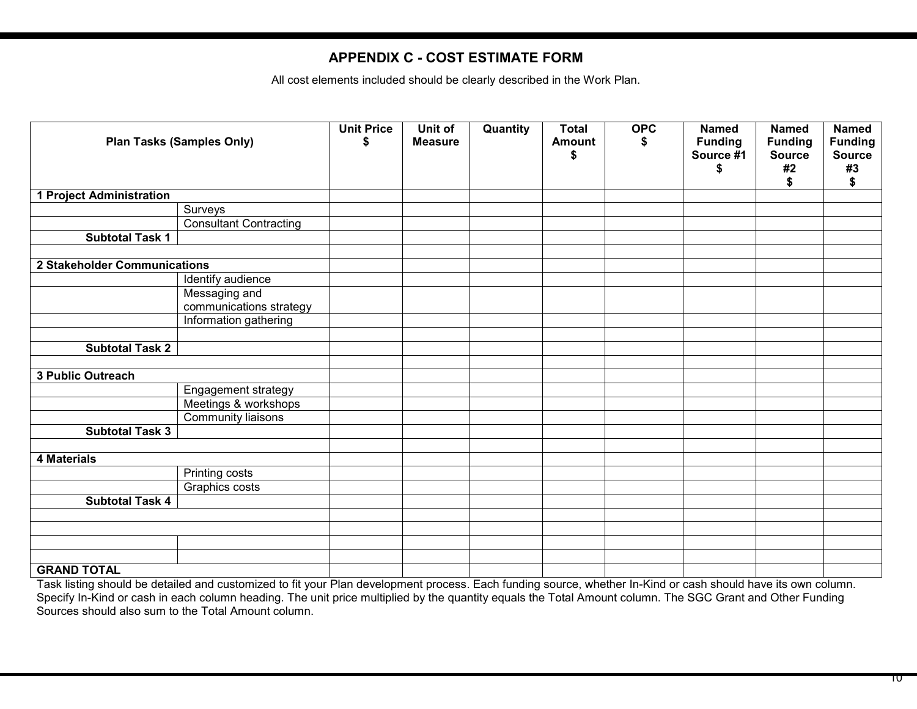#### **APPENDIX C - COST ESTIMATE FORM**

All cost elements included should be clearly described in the Work Plan.

| <b>Plan Tasks (Samples Only)</b>   |                                          | <b>Unit Price</b><br>\$ | Unit of<br><b>Measure</b> | Quantity | <b>Total</b><br><b>Amount</b><br>\$ | <b>OPC</b> | <b>Named</b><br><b>Funding</b><br>Source #1<br>\$ | <b>Named</b><br><b>Funding</b><br><b>Source</b><br>#2<br>\$ | <b>Named</b><br><b>Funding</b><br><b>Source</b><br>#3<br>\$ |
|------------------------------------|------------------------------------------|-------------------------|---------------------------|----------|-------------------------------------|------------|---------------------------------------------------|-------------------------------------------------------------|-------------------------------------------------------------|
| <b>Project Administration</b><br>1 |                                          |                         |                           |          |                                     |            |                                                   |                                                             |                                                             |
|                                    | Surveys                                  |                         |                           |          |                                     |            |                                                   |                                                             |                                                             |
|                                    | <b>Consultant Contracting</b>            |                         |                           |          |                                     |            |                                                   |                                                             |                                                             |
| <b>Subtotal Task 1</b>             |                                          |                         |                           |          |                                     |            |                                                   |                                                             |                                                             |
|                                    |                                          |                         |                           |          |                                     |            |                                                   |                                                             |                                                             |
| 2 Stakeholder Communications       |                                          |                         |                           |          |                                     |            |                                                   |                                                             |                                                             |
|                                    | Identify audience                        |                         |                           |          |                                     |            |                                                   |                                                             |                                                             |
|                                    | Messaging and<br>communications strategy |                         |                           |          |                                     |            |                                                   |                                                             |                                                             |
|                                    | Information gathering                    |                         |                           |          |                                     |            |                                                   |                                                             |                                                             |
|                                    |                                          |                         |                           |          |                                     |            |                                                   |                                                             |                                                             |
| <b>Subtotal Task 2</b>             |                                          |                         |                           |          |                                     |            |                                                   |                                                             |                                                             |
|                                    |                                          |                         |                           |          |                                     |            |                                                   |                                                             |                                                             |
| <b>3 Public Outreach</b>           |                                          |                         |                           |          |                                     |            |                                                   |                                                             |                                                             |
|                                    | Engagement strategy                      |                         |                           |          |                                     |            |                                                   |                                                             |                                                             |
|                                    | Meetings & workshops                     |                         |                           |          |                                     |            |                                                   |                                                             |                                                             |
|                                    | Community liaisons                       |                         |                           |          |                                     |            |                                                   |                                                             |                                                             |
| <b>Subtotal Task 3</b>             |                                          |                         |                           |          |                                     |            |                                                   |                                                             |                                                             |
|                                    |                                          |                         |                           |          |                                     |            |                                                   |                                                             |                                                             |
| <b>4 Materials</b>                 |                                          |                         |                           |          |                                     |            |                                                   |                                                             |                                                             |
|                                    | <b>Printing costs</b>                    |                         |                           |          |                                     |            |                                                   |                                                             |                                                             |
|                                    | Graphics costs                           |                         |                           |          |                                     |            |                                                   |                                                             |                                                             |
| <b>Subtotal Task 4</b>             |                                          |                         |                           |          |                                     |            |                                                   |                                                             |                                                             |
|                                    |                                          |                         |                           |          |                                     |            |                                                   |                                                             |                                                             |
|                                    |                                          |                         |                           |          |                                     |            |                                                   |                                                             |                                                             |
|                                    |                                          |                         |                           |          |                                     |            |                                                   |                                                             |                                                             |
|                                    |                                          |                         |                           |          |                                     |            |                                                   |                                                             |                                                             |
| <b>GRAND TOTAL</b>                 |                                          |                         |                           |          |                                     |            |                                                   |                                                             |                                                             |

Task listing should be detailed and customized to fit your Plan development process. Each funding source, whether In-Kind or cash should have its own column. Specify In-Kind or cash in each column heading. The unit price multiplied by the quantity equals the Total Amount column. The SGC Grant and Other Funding Sources should also sum to the Total Amount column.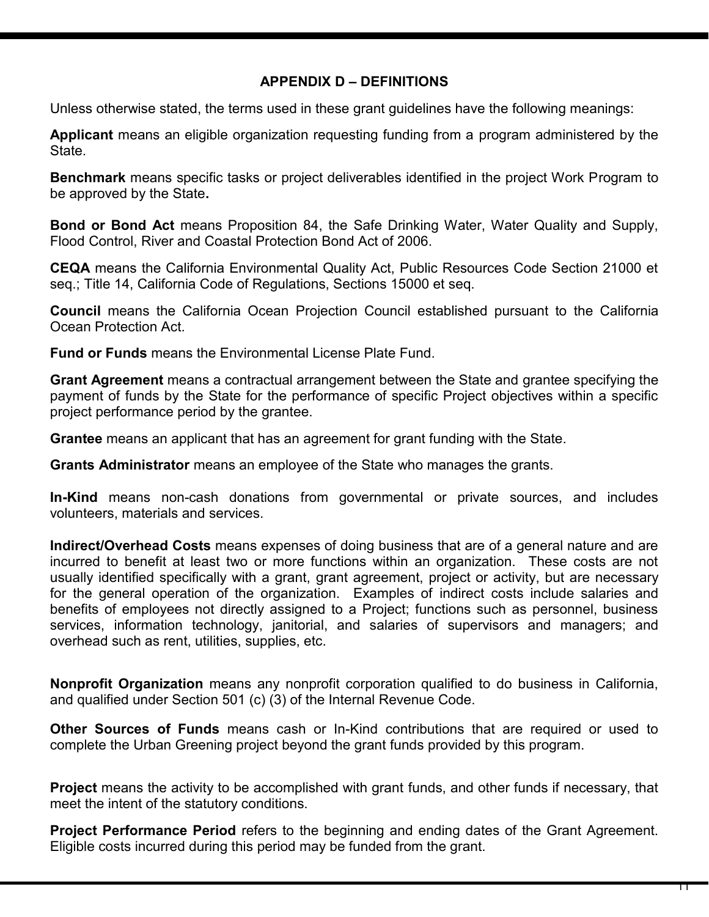## **APPENDIX D – DEFINITIONS**

Unless otherwise stated, the terms used in these grant guidelines have the following meanings:

 **Applicant** means an eligible organization requesting funding from a program administered by the State.

 **Benchmark** means specific tasks or project deliverables identified in the project Work Program to be approved by the State**.** 

 **Bond or Bond Act** means Proposition 84, the Safe Drinking Water, Water Quality and Supply, Flood Control, River and Coastal Protection Bond Act of 2006.

 **CEQA** means the California Environmental Quality Act, Public Resources Code Section 21000 et seq.; Title 14, California Code of Regulations, Sections 15000 et seq.

 **Council** means the California Ocean Projection Council established pursuant to the California Ocean Protection Act.

**Fund or Funds** means the Environmental License Plate Fund.

 **Grant Agreement** means a contractual arrangement between the State and grantee specifying the payment of funds by the State for the performance of specific Project objectives within a specific project performance period by the grantee.

**Grantee** means an applicant that has an agreement for grant funding with the State.

**Grants Administrator** means an employee of the State who manages the grants.

 **In-Kind** means non-cash donations from governmental or private sources, and includes volunteers, materials and services.

 **Indirect/Overhead Costs** means expenses of doing business that are of a general nature and are incurred to benefit at least two or more functions within an organization. These costs are not usually identified specifically with a grant, grant agreement, project or activity, but are necessary for the general operation of the organization. Examples of indirect costs include salaries and benefits of employees not directly assigned to a Project; functions such as personnel, business services, information technology, janitorial, and salaries of supervisors and managers; and overhead such as rent, utilities, supplies, etc.

 **Nonprofit Organization** means any nonprofit corporation qualified to do business in California, and qualified under Section 501 (c) (3) of the Internal Revenue Code.

 **Other Sources of Funds** means cash or In-Kind contributions that are required or used to complete the Urban Greening project beyond the grant funds provided by this program.

 **Project** means the activity to be accomplished with grant funds, and other funds if necessary, that meet the intent of the statutory conditions.

 **Project Performance Period** refers to the beginning and ending dates of the Grant Agreement. Eligible costs incurred during this period may be funded from the grant.